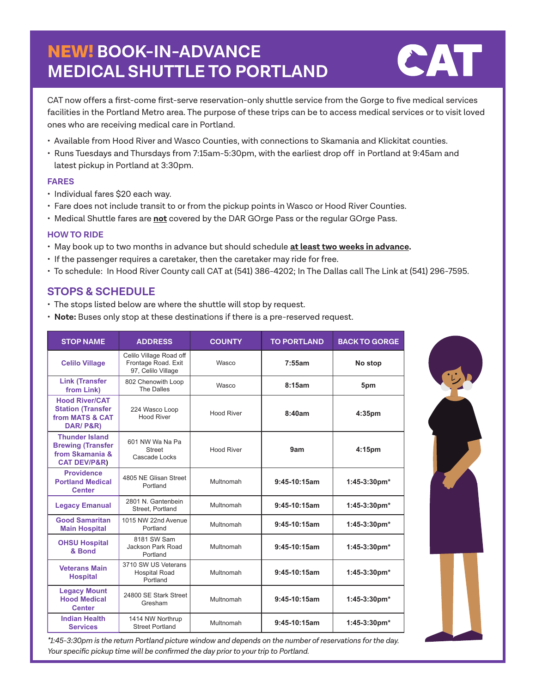# NEW! **BOOK-IN-ADVANCE MEDICAL SHUTTLE TO PORTLAND**



CAT now offers a first-come first-serve reservation-only shuttle service from the Gorge to five medical services facilities in the Portland Metro area. The purpose of these trips can be to access medical services or to visit loved ones who are receiving medical care in Portland.

- Available from Hood River and Wasco Counties, with connections to Skamania and Klickitat counties.
- Runs Tuesdays and Thursdays from 7:15am-5:30pm, with the earliest drop off in Portland at 9:45am and latest pickup in Portland at 3:30pm.

#### **FARES**

- Individual fares \$20 each way.
- Fare does not include transit to or from the pickup points in Wasco or Hood River Counties.
- Medical Shuttle fares are **not** covered by the DAR GOrge Pass or the regular GOrge Pass.

#### **HOW TO RIDE**

- May book up to two months in advance but should schedule **at least two weeks in advance.**
- If the passenger requires a caretaker, then the caretaker may ride for free.
- To schedule: In Hood River County call CAT at (541) 386-4202; In The Dallas call The Link at (541) 296-7595.

### **STOPS & SCHEDULE**

- The stops listed below are where the shuttle will stop by request.
- **Note:** Buses only stop at these destinations if there is a pre-reserved request.

| <b>STOP NAME</b>                                                                                | <b>ADDRESS</b>                                                       | <b>COUNTY</b>     | <b>TO PORTLAND</b> | <b>BACK TO GORGE</b>   |
|-------------------------------------------------------------------------------------------------|----------------------------------------------------------------------|-------------------|--------------------|------------------------|
| <b>Celilo Village</b>                                                                           | Celilo Village Road off<br>Frontage Road. Exit<br>97, Celilo Village | Wasco             | 7:55am             | No stop                |
| <b>Link (Transfer</b><br>from Link)                                                             | 802 Chenowith Loop<br>The Dalles                                     | Wasco             | 8:15am             | 5pm                    |
| <b>Hood River/CAT</b><br><b>Station (Transfer</b><br>from MATS & CAT<br>DAR/P&R)                | 224 Wasco Loop<br><b>Hood River</b>                                  | <b>Hood River</b> | 8:40am             | 4:35 <sub>pm</sub>     |
| <b>Thunder Island</b><br><b>Brewing (Transfer</b><br>from Skamania &<br><b>CAT DEV/P&amp;R)</b> | 601 NW Wa Na Pa<br><b>Street</b><br>Cascade Locks                    | <b>Hood River</b> | 9am                | 4:15pm                 |
| <b>Providence</b><br><b>Portland Medical</b><br><b>Center</b>                                   | 4805 NE Glisan Street<br>Portland                                    | Multnomah         | $9:45-10:15am$     | $1:45-3:30 \text{pm*}$ |
| <b>Legacy Emanual</b>                                                                           | 2801 N. Gantenbein<br>Street, Portland                               | Multnomah         | 9:45-10:15am       | $1:45-3:30 \text{pm*}$ |
| <b>Good Samaritan</b><br><b>Main Hospital</b>                                                   | 1015 NW 22nd Avenue<br>Portland                                      | Multnomah         | 9:45-10:15am       | 1:45-3:30pm*           |
| <b>OHSU Hospital</b><br>& Bond                                                                  | 8181 SW Sam<br>Jackson Park Road<br>Portland                         | Multnomah         | $9:45-10:15am$     | $1:45-3:30 \text{pm*}$ |
| <b>Veterans Main</b><br><b>Hospital</b>                                                         | 3710 SW US Veterans<br><b>Hospital Road</b><br>Portland              | Multnomah         | 9:45-10:15am       | $1:45-3:30 \text{pm*}$ |
| <b>Legacy Mount</b><br><b>Hood Medical</b><br><b>Center</b>                                     | 24800 SE Stark Street<br>Gresham                                     | Multnomah         | $9:45-10:15am$     | $1:45-3:30 \text{pm*}$ |
| <b>Indian Health</b><br><b>Services</b>                                                         | 1414 NW Northrup<br><b>Street Portland</b>                           | Multnomah         | $9:45-10:15am$     | $1:45-3:30 \text{pm*}$ |

*\*1:45-3:30pm is the return Portland picture window and depends on the number of reservations for the day. Your specific pickup time will be confirmed the day prior to your trip to Portland.*